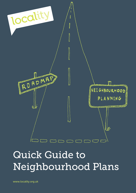

# Quick Guide to Neighbourhood Plans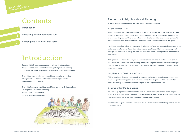# Contents

Introduction

Producing a Neighbourhood Plan

Bringing the Plan into Legal Force

# Introduction

Since April 2012, local communities have been able to produce Neighbourhood Plans for their local area, putting in place planning policies for the future development and growth of the neighbourhood.

This guide gives a concise summary of the process for producing a Neighbourhood Plan under the Localism Act, together with suggestions for good practice.

This guide focuses on Neighbourhood Plans rather than Neighbourhood Development Orders or Community Right to Build Orders or other community-led planning tools.



### Elements of Neighbourhood Planning

The elements of neighbourhood planning under the Localism Act are:

#### Neighbourhood Plans

A Neighbourhood Plan is a community-led framework for guiding the future development and growth of an area. It may contain a vision, aims, planning policies, proposals for improving the area or providing new facilities, or allocation of key sites for specific kinds of development. All Neighbourhood Plans must meet Basic Conditions, which are described later in this guide.

Neighbourhood plans relate to the use and development of land and associated social, economic and environmental issues. It may deal with a wide range of issues (like housing, employment, heritage and transport) or it may focus on one or two issues that are of particular importance in a local area.

A Neighbourhood Plan will be subject to examination and referendum and then form part of the Local Development Plan. This statutory status gives Neighbourhood Plans far more weight than some other local planning documents, such as parish plans, community plans and village design statements.

#### Neighbourhood Development Orders

A Neighbourhood Development Order is a means for parish/town councils or neighbourhood forums to grant planning permission for certain kinds of development within a specified area. These orders may apply to the whole or just part of the neighbourhood area.

#### Community Right to Build Orders

A Community Right to Build Order can be used to grant planning permission for development schemes, e.g. housing. Local community organisations that meet certain requirements or parish/ town councils are able to prepare Community Right to Build Orders.

It is necessary to gain a more than 50% 'yes' vote in a public referendum to bring these plans and orders into force.

2

5

11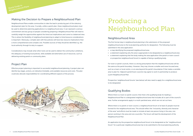# Producing a Neighbourhood Plan

#### Neighbourhood Area

The first formal step in neighbourhood planning is the submission of the proposed neighbourhood area to the local planning authority for designation. The following must be submitted in the area application:

- a map identifying the proposed neighbourhood area
- 
- a statement explaining that the body making the area application (the parish or town council

• a statement explaining why the area is appropriate to be designated as a neighbourhood area or prospective neighbourhood forum) is capable of being a qualifying body.

For town or parish councils, there is a strong presumption that the neighbourhood area will be the same as the parish boundary. However, they may choose a smaller and more focused area, such as a town or local centre, or an area beyond the parish's boundaries if that makes a sensible area to plan for. Adjacent parish/town councils may agree to work in partnership to produce a joint Neighbourhood Plan.

Prospective 'neighbourhood forums' (see below) will also need to apply for a neighbourhood area to be designated.

#### Qualifying Bodies

Where there is a town or parish council, then that is the qualifying body for leading a Neighbourhood Plan in a designated neighbourhood area that includes all or part of the council's area. Further arrangements apply in a multi-parished area, which are not set out here.

Where there is no parish or town council, a neighbourhood forum of at least 21 people must be formed for the neighbourhood area. This should reflect the "inclusivity, diversity and character of the area" and efforts must be made to include at least one person living in the area, one person working in the area and one councillor. The forum will lead the development of the Neighbourhood Plan.

An application by the prospective neighbourhood forum to be designated as the "neighbourhood forum" for a particular neighbourhood area has to be submitted to the local planning authority.

#### Making the Decision to Prepare a Neighbourhood Plan

Neighbourhood Plans enable communities to take the lead in producing part of the statutory development plan for the area. Crucially, unlike a parish plan, these neighbourhood plans must be used to determine planning applications in a neighbourhood area. It can represent a serious commitment and any group of people considering preparing a Neighbourhood Plan will need to carefully weigh the opportunities against the time/cost implications and come to a balanced view. This is where the flexibility of neighbourhood planning to adapt to time/resource considerations is important. Obviously, a simpler plan with few policies will have less resource implications than a more comprehensive and complex one. Possible sources of help should be identified e.g. the local authority through its duty to support.

Considerations may include what other tools can be used to deliver the community's ambitions, the adequacy of existing local policies, skills available and alternative use of resources, such as delivering existing parish or community plans.

#### Project Plan

Effective project planning is important to successful neighbourhood planning. A project plan can identify key stages, actions, an indicative timetable, and available resources and costs. The plan could also allocate responsibilities for coordinating different aspects of the process.

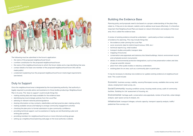#### Building the Evidence Base

Planning policy and proposals need to be based on a proper understanding of the place they relate to, if they are to be relevant, realistic and to address local issues effectively. It is therefore important that Neighbourhood Plans are based on robust information and analysis of the local area; this is called the evidence base.

A review of existing evidence should be undertaken – particularly as there is already lots of evidence for planning. This may include things like:

Environmental: heritage audit, conservation area appraisals, review of local lists, urban design analysis, open space survey & analysis, etc.

- the evidence under-pinning the Local Plan
- socio-economic data for district/ward (census, ONS, etc.)
- technical reports (e.g. retail studies)
- transport studies and public transport data
- mapping of local area
- conservation area appraisals and statutory lists (listed buildings, historic environment record and scheduled ancient monuments)
- details of environmental protection designations, such as tree preservation orders and sites of special scientific interest
- plans from other public bodies or statutory undertakers
- existing plans for an area, such as a community plan or parish plan.

It may be necessary to develop new evidence (or update existing evidence) at neighbourhood level. This could include:

Economic: business surveys, viability, vacancy/floorspace survey, available sites survey, land values, employment need survey, etc.

Social/Community: housing condition survey, housing needs survey, audit of community facilities, 'Building for Life' assessment of housing, etc.

Infrastructure: transport linkages, schools capacity, transport capacity analysis, traffic/ pedestrian flow surveys, etc.

# Quick Guide to<br>Neighbourhood Plans



The following must be submitted in the forum's application:

- the name of the proposed neighbourhood forum
- a written constitution for the proposed neighbourhood forum
- the name of the neighbourhood area to which the forum relates and a map identifying that area
- contact details of at least one member of the proposed neighbourhood forum (this will be made public)
- a statement explaining how the proposed neighbourhood forum meets legal requirements (see below).

#### Duty to Support

Once the neighbourhood area is designated by the local planning authority, that authority is legally required to provide advice and assistance to those bodies producing a Neighbourhood Plan in its area. This 'duty to support' could include things like:

- making existing data and maps available for the evidence base
- identifying key local strategic policies from the Local Plan
- advising on relevant national policies/guidance
- sharing information on key contacts, stakeholders and best practice plan-making activity
- making available venues and helping to arrange community engagement activities
- checking the plan prior to formal submission to give community confidence
- providing technical support, such as assistance in laying out and illustrating a plan and writing plan policies
- providing members for neighbourhood forums or more informal working groups
- setting up a neighbourhood planning web page on the local authority's website.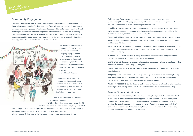Publicity and Awareness: It is important to publicise the proposed Neighbourhood (development) Plan as widely as possible using different media right at the beginning of the process. Feedback should be provided throughout the process.

Local Partnerships: Key partners and stakeholders should be identified. These can provide easier access and support in involving minority groups, different communities, residents, the business community, hard-to-engage communities, etc.

Capacity Building: It will often be necessary to include capacity building (education/training) so that those participating in community engagement events are well informed about the plan and the issues it is dealing with.

Avoid Tokenism: The purpose of undertaking community engagement is to inform the content of the plan. If the outcomes have already been determined, then community engagement is tokenistic (marketing).

Specialist advice and enabling: It may be necessary for those leading and participating in the planning process to bring in specialist advice and support.

Being Creative: Community engagement needs to engage people using a range of approaches and media. It should be stimulating and enjoyable.

Managing Expectations: It is necessary to balance ambitions with realism and practical and legal limitations.

Targeting: Whilst some people will naturally want to get involved in neighbourhood planning, with other groups, people targeting will be necessary. This could include the elderly, young people, ethnic groups and other minority or hard-to-engage groups.

Making it Accessible: Careful thought needs to be given to make events and material accessible, including location, timing, media, format, etc. Events should be informal and unintimidating.

#### Common Mistakes – What to avoid!

Common mistakes include things like consulting too late, placing a thick document on a stand in the library or on a web site and expecting people to read it, or talking at people at a public meeting. Asking consultants to produce options before consulting the community is also poor practice. Consultation should not be treated as a one-off tick-box exercise. Also, analysis of consultation responses is not about counting the number of consultees making a comment, but considering the depth and range of responses.

#### Community Engagement

Community engagement is necessary and important for several reasons. It is a requirement of planning legislation including for Neighbourhood Plans. It is essential in developing consensus and creating community support. Finding out what people think and drawing on their skills and knowledge is an important part of developing the evidence base for an area and developing the Neighbourhood Plan, leading to more realistic and deliverable plans and policies. Failure to engage communities properly at an early stage is one of the main causes of conflict later in the planning process. This can lead to additional costs and delays.



The referendum will involve a simple 'yes' or 'no' vote on the Neighbourhood Plan. Properly engaging people from the beginning of the process ensures that there is an opportunity to influence the detail of the Neighbourhood Plan, rather than just having the option to accept or reject the whole plan.

Where intensive community engagement has recently been undertaken, such as in respect of the community plan, the material obtained will be useful in informing the Neighbourhood Plan.

Good practice examples of community engagement include:

Front Loading: Community engagement should be undertaken before work commences on the plan (this is called

front loading) and throughout the process of plan preparation. The purpose of the first stages of community engagement is to help define issues and aims for the plan, and to inform an overall vision and to start to create a sense of wider ownership for the plan.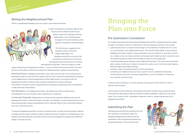# Bringing the Plan into Force

#### Pre-Submission Consultation

It is a legal requirement that the proposed Neighbourhood Plan is publicised and the subject of public consultation, before it is submitted to the local planning authority. This includes: • publicising the plan in a manner which brings it to the attention of people who live, work or run businesses in the neighbourhood area. This should include details of the proposed Neighbourhood Plan, details of where and when it may be viewed (e.g. local fairs, schools, etc.), details on how to make comments on the plan and the date by which comments must be received (at least six weeks from the date on which it is first publicised) • consulting bodies whose interests may be affected by the plan. The local council should be

- 
- able to advise on this, but it is likely to include the county council, the Environment Agency, Natural England and English Heritage
- sending a copy of the proposed plan to the local authority
- consulting any neighbouring local, town or parish councils, significant landowners, local businesses and local community organisations, such as chambers of commerce, civic societies and local trusts.

It may be useful to produce a concise summary of the plan for those that don't wish to read the full document.

A brief report must be produced, summarising comments received, issues raised by those comments and describing if and how the plan has been modified in response to the issues raised. This is known as the 'consultation statement' which is a legal requirement for all Neighbourhood Plans.

#### Submitting the Plan

Following any amendments resulting from the pre-submission consultation stage, the proposed Neighbourhood Plan should be submitted to the local planning authority by the qualifying body. The local authority is



#### Writing the Neighbourhood Plan

There is considerable flexibility over how a plan is structured and written.



Careful consideration should be made of how the plan will be delivered and this will require constructive dialogue with key stakeholders, such as development managers in the local authority, public agencies, landowners and developers.

The following are suggestions for possible content of the plan: Vision and Aims. The Neighbourhood Plan can set out the community's overall vision for the area and should include overall aims for its future

development and growth. These can relate to a wide

range of planning and regeneration matters – social, economic and environmental. The vision and aims of the plan can then be translated into detailed policies, guidance and proposals.

Planning Policies. A Neighbourhood Plan, once made, will form part of the statutory local development plan for the area and its policies will be used to determine development proposals in the neighbourhood. Planning applications will be determined in accordance with the Neighbourhood Plan's policies unless material considerations indicate otherwise. The policies in the plan could be supplemented if necessary by explanatory text or illustrations to help with their interpretation.

Site Allocations. The Neighbourhood Plan may identify key sites for specific kinds of development, such as housing, retail, employment or mixed use.

Community Proposals. Regeneration or enhancement proposals relating to the use and development of land could be included in the plan. For example, it could include policies around improving key public spaces and pedestrian links or allocate sites for new community facilities, such as a community centre.

To keep the Neighbourhood Plan concise, focused and clear on what are the proposed "policies", a background document could be created, listing the sources of evidence, summarising any new evidence and describing the outcomes of the community engagement programme at different stages in the plan process.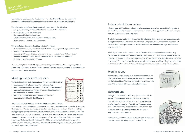



responsible for publicising the plan that has been submitted to them and arranging for the independent examination and referendum to take place into that submitted plan.

The submission to the local planning authority must include the following:

- a map or statement, which identifies the area to which the plan relates
- a consultation statement (see below)
- the proposed Neighbourhood Plan
- a statement on how the plan fulfils the Basic Conditions (see later section on the 'Basic Conditions').

The consultation statement should contain the following:

- details of people and organisations consulted about the proposed Neighbourhood Plan
- details of how they were consulted
- a summary of the main issues and concerns raised through the consultation process
- descriptions of how these issues and concerns were considered and addressed in the proposed Neighbourhood Plan.

Upon receiving the submitted Neighbourhood Plan proposal the local authority will publicise it and invite comments (six weeks). These comments will be sent subsequently to the independent examiner for their consideration.

### Meeting the Basic Conditions

The Basic Conditions for Neighbourhood Plans are specified by law:

- must be appropriate having regard to national policy
- must contribute to the achievement of sustainable development
- must be in general conformity with the strategic policies in the development plan for the local area
- must be compatible with human rights requirements
- must be compatible with EU obligations.

Neighbourhood Plans must not breach and must be compatible with

EU and human rights obligations, including the Strategic Environment Assessment (SEA) Directive. Neighbourhood Plans should be screened at an early stage to ascertain whether they are likely to trigger significant environmental effects and thus whether an SEA needs to be carried out. The Local Planning Authority (LPA) should undertake this screening assessment, consulting relevant national bodies in coming to its screening opinion. The National Planning Policy Framework makes clear that a sustainability appraisal should be an integral part of the plan preparation process, but the particular assessment requirements need to respond to the scale, status and scope of the plan being developed.

## YE NO  $Y<sub>1</sub>$ W-YE NO desintrana YE NO YO NE

### Independent Examination

It is the responsibility of the local authority to organise and cover the costs of the independent examination and referendum. The independent examiner will be appointed by the local authority with the consent of the qualifying body.

The independent examination will consider the submitted documents and any comments made during the consultation period on the submitted plan proposal. The independent examiner will examine whether the plan meets the 'Basic Conditions' and other relevant legal requirements (e.g. consultation).

The independent examiner may recommend that the plan proceed to the referendum stage (i.e. it meets all the legal requirements) or may suggest that modifications are needed to the plan before it can proceed to the referendum. Or they may recommend that it does not proceed to the referendum, if it does not meet the relevant legal requirements. In addition, they may recommend that the referendum area include individuals beyond the boundary of the neighbourhood area.

### Modifications

The local planning authority must make modifications to the plan if, with those modifications, the plan could comply with the Basic Conditions. The local community may withdraw the plan if it is unhappy with modifications being made.

### Referendum

If the plan is found to be satisfactory (i.e. complies with the key legal requirements) with modifications if necessary, then the local authority must arrange for the referendum to take place. It must give at least 28 working days notice of the referendum before the date of the referendum. The qualifying body may campaign before the referendum, subject to rules over expenses.

If more than 50% of those voting in the referendum vote 'yes', then the council will bring the plan into legal force.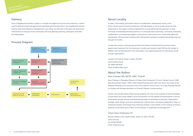#### **Delivery**

Once a Neighbourhood Plan is made (i.e. brought into legal force by the local authority), it will be used to determine planning applications and guide planning decisions in the neighbourhood area. Having a plan and waiting for development is one thing, but elements of the plan will need active interventions on the part of the community, the local planning authority, developers and other key stakeholders.

### Process Diagram

### About Locality

Locality is the leading nationwide network of settlements, development trusts, social action centres and community enterprises. We help people to set up locally owned and led organisations. We support existing organisations to work effectively through peer-to-peer exchange of knowledge and best practice on community asset ownership, community enterprise, collaboration, commissioning support, social action, community voice, community rights and regeneration. We have been working with communities involved in neighbourhood planning over the past 18 months.

Locality also works to influence government and others at national and local level to build support and investment for the movement. Locality was formed in April 2011 by the merger of BASSAC and the Development Trusts Association; two leading networks of community owned and led organisations.

Locality, 33 Corsham Street, London, N1 6DR www.locality.org.uk Tel: 0845 458 8336 Email: info@locality.org.uk

#### About the Author

#### Dave Chetwyn MA, MRTPI, IHBC, FInstLM

Dave Chetwyn is Managing Director of Urban Vision Enterprise CIC and a Design Council CABE Built Environment Expert. Other roles include Planning Chair with Civic Voice, Vice Chair of the National Planning Forum and Vice Chair of the Historic Towns Forum. He is also Planning Adviser to Locality and Heritage Specialist on Crossrail (Thames Tunnels section).

Former roles include Head of Planning Aid England, UK Chair of the Institute of Historic Building Conservation and a team leader in local Government. He has advised and participated in various Government groups, reviews and Parliamentary select committees on planning, regeneration, heritage, urban design, economic development, state aid and community engagement. Dave is a chartered member of the Royal Town Planning Institute, a full member of the Institute of Historic Building Conservation and a Fellow of the Institute of Leadership and Management.

#### Urban Vision Enterprise CIC

Burslem School of Art, Queen Street, Stoke-on-Trent, ST6 3EJ www.uvns.org Tel: 01782 790595 Email: info@uvns.org